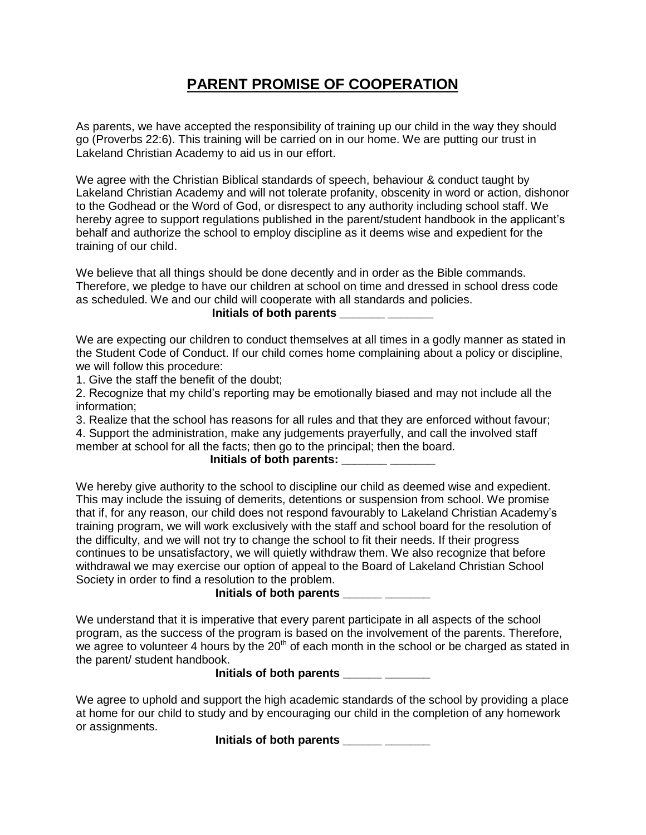## **PARENT PROMISE OF COOPERATION**

As parents, we have accepted the responsibility of training up our child in the way they should go (Proverbs 22:6). This training will be carried on in our home. We are putting our trust in Lakeland Christian Academy to aid us in our effort.

We agree with the Christian Biblical standards of speech, behaviour & conduct taught by Lakeland Christian Academy and will not tolerate profanity, obscenity in word or action, dishonor to the Godhead or the Word of God, or disrespect to any authority including school staff. We hereby agree to support regulations published in the parent/student handbook in the applicant's behalf and authorize the school to employ discipline as it deems wise and expedient for the training of our child.

We believe that all things should be done decently and in order as the Bible commands. Therefore, we pledge to have our children at school on time and dressed in school dress code as scheduled. We and our child will cooperate with all standards and policies.

**Initials of both parents \_\_\_\_\_\_\_ \_\_\_\_\_\_\_**

We are expecting our children to conduct themselves at all times in a godly manner as stated in the Student Code of Conduct. If our child comes home complaining about a policy or discipline, we will follow this procedure:

1. Give the staff the benefit of the doubt;

2. Recognize that my child's reporting may be emotionally biased and may not include all the information;

3. Realize that the school has reasons for all rules and that they are enforced without favour;

4. Support the administration, make any judgements prayerfully, and call the involved staff member at school for all the facts; then go to the principal; then the board.

# **Initials of both parents: \_\_\_\_\_\_\_ \_\_\_\_\_\_\_**

We hereby give authority to the school to discipline our child as deemed wise and expedient. This may include the issuing of demerits, detentions or suspension from school. We promise that if, for any reason, our child does not respond favourably to Lakeland Christian Academy's training program, we will work exclusively with the staff and school board for the resolution of the difficulty, and we will not try to change the school to fit their needs. If their progress continues to be unsatisfactory, we will quietly withdraw them. We also recognize that before withdrawal we may exercise our option of appeal to the Board of Lakeland Christian School Society in order to find a resolution to the problem.

### **Initials of both parents \_\_\_\_\_\_ \_\_\_\_\_\_\_**

We understand that it is imperative that every parent participate in all aspects of the school program, as the success of the program is based on the involvement of the parents. Therefore, we agree to volunteer 4 hours by the  $20<sup>th</sup>$  of each month in the school or be charged as stated in the parent/ student handbook.

#### **Initials of both parents \_\_\_\_\_\_ \_\_\_\_\_\_\_**

We agree to uphold and support the high academic standards of the school by providing a place at home for our child to study and by encouraging our child in the completion of any homework or assignments.

**Initials of both parents \_\_\_\_\_\_ \_\_\_\_\_\_\_**